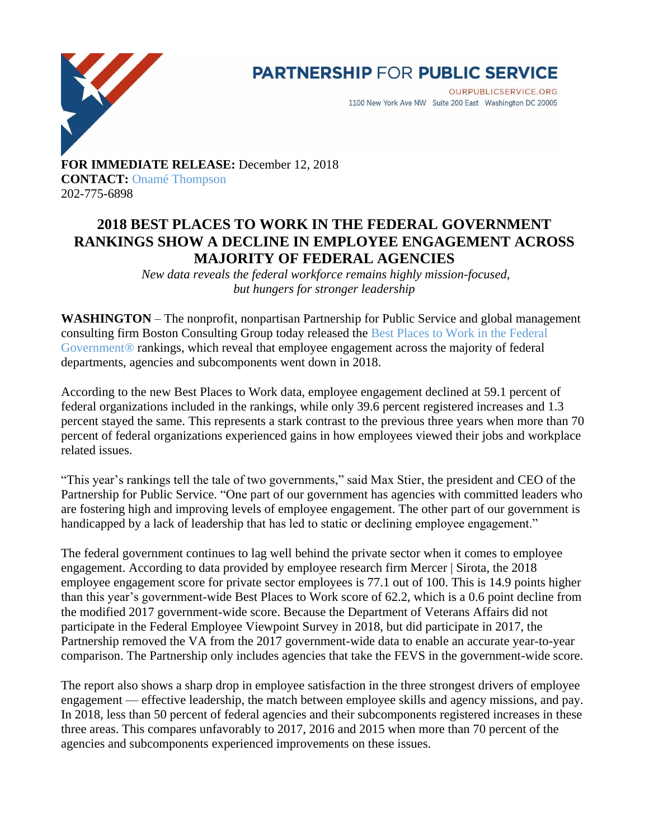

## **PARTNERSHIP FOR PUBLIC SERVICE**

**OURPUBLICSERVICE.ORG** 1100 New York Ave NW Suite 200 East Washington DC 20005

**FOR IMMEDIATE RELEASE:** December 12, 2018 **CONTACT:** [Onamé Thompson](mailto:othompson@ourpublicservice.org) 202-775-6898

## **2018 BEST PLACES TO WORK IN THE FEDERAL GOVERNMENT RANKINGS SHOW A DECLINE IN EMPLOYEE ENGAGEMENT ACROSS MAJORITY OF FEDERAL AGENCIES**

*New data reveals the federal workforce remains highly mission-focused, but hungers for stronger leadership*

**WASHINGTON** – The nonprofit, nonpartisan Partnership for Public Service and global management consulting firm Boston Consulting Group today released the [Best Places to Work in the Federal](https://bestplacestowork.org/)  [Government®](https://bestplacestowork.org/) rankings, which reveal that employee engagement across the majority of federal departments, agencies and subcomponents went down in 2018.

According to the new Best Places to Work data, employee engagement declined at 59.1 percent of federal organizations included in the rankings, while only 39.6 percent registered increases and 1.3 percent stayed the same. This represents a stark contrast to the previous three years when more than 70 percent of federal organizations experienced gains in how employees viewed their jobs and workplace related issues.

"This year's rankings tell the tale of two governments," said Max Stier, the president and CEO of the Partnership for Public Service. "One part of our government has agencies with committed leaders who are fostering high and improving levels of employee engagement. The other part of our government is handicapped by a lack of leadership that has led to static or declining employee engagement."

The federal government continues to lag well behind the private sector when it comes to employee engagement. According to data provided by employee research firm Mercer | Sirota, the 2018 employee engagement score for private sector employees is 77.1 out of 100. This is 14.9 points higher than this year's government-wide Best Places to Work score of 62.2, which is a 0.6 point decline from the modified 2017 government-wide score. Because the Department of Veterans Affairs did not participate in the Federal Employee Viewpoint Survey in 2018, but did participate in 2017, the Partnership removed the VA from the 2017 government-wide data to enable an accurate year-to-year comparison. The Partnership only includes agencies that take the FEVS in the government-wide score.

The report also shows a sharp drop in employee satisfaction in the three strongest drivers of employee engagement — effective leadership, the match between employee skills and agency missions, and pay. In 2018, less than 50 percent of federal agencies and their subcomponents registered increases in these three areas. This compares unfavorably to 2017, 2016 and 2015 when more than 70 percent of the agencies and subcomponents experienced improvements on these issues.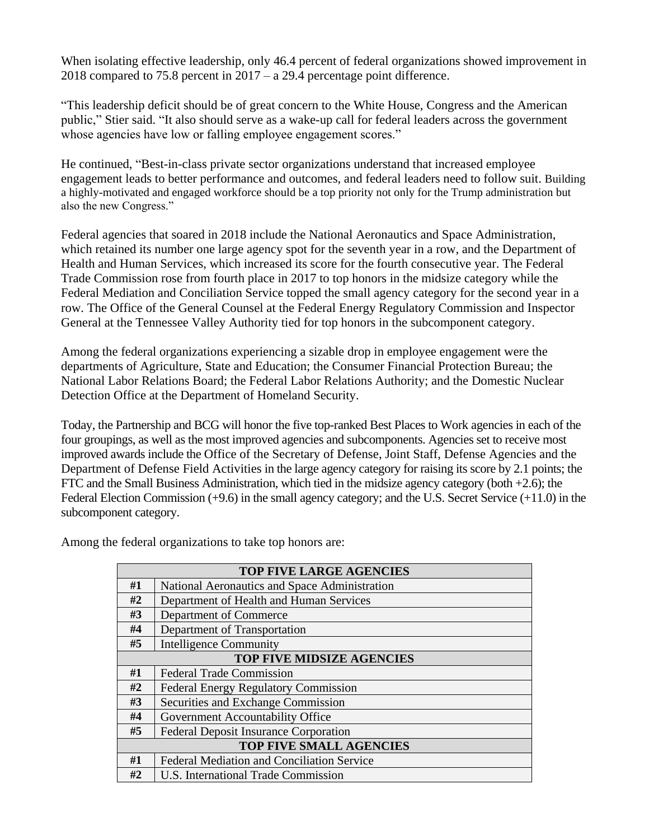When isolating effective leadership, only 46.4 percent of federal organizations showed improvement in 2018 compared to 75.8 percent in 2017 – a 29.4 percentage point difference.

"This leadership deficit should be of great concern to the White House, Congress and the American public," Stier said. "It also should serve as a wake-up call for federal leaders across the government whose agencies have low or falling employee engagement scores."

He continued, "Best-in-class private sector organizations understand that increased employee engagement leads to better performance and outcomes, and federal leaders need to follow suit. Building a highly-motivated and engaged workforce should be a top priority not only for the Trump administration but also the new Congress."

Federal agencies that soared in 2018 include the National Aeronautics and Space Administration, which retained its number one large agency spot for the seventh year in a row, and the Department of Health and Human Services, which increased its score for the fourth consecutive year. The Federal Trade Commission rose from fourth place in 2017 to top honors in the midsize category while the Federal Mediation and Conciliation Service topped the small agency category for the second year in a row. The Office of the General Counsel at the Federal Energy Regulatory Commission and Inspector General at the Tennessee Valley Authority tied for top honors in the subcomponent category.

Among the federal organizations experiencing a sizable drop in employee engagement were the departments of Agriculture, State and Education; the Consumer Financial Protection Bureau; the National Labor Relations Board; the Federal Labor Relations Authority; and the Domestic Nuclear Detection Office at the Department of Homeland Security.

Today, the Partnership and BCG will honor the five top-ranked Best Places to Work agencies in each of the four groupings, as well as the most improved agencies and subcomponents. Agencies set to receive most improved awards include the Office of the Secretary of Defense, Joint Staff, Defense Agencies and the Department of Defense Field Activities in the large agency category for raising its score by 2.1 points; the FTC and the Small Business Administration, which tied in the midsize agency category (both +2.6); the Federal Election Commission (+9.6) in the small agency category; and the U.S. Secret Service (+11.0) in the subcomponent category.

| <b>TOP FIVE LARGE AGENCIES</b>   |                                                   |
|----------------------------------|---------------------------------------------------|
| #1                               | National Aeronautics and Space Administration     |
| #2                               | Department of Health and Human Services           |
| #3                               | Department of Commerce                            |
| #4                               | Department of Transportation                      |
| #5                               | <b>Intelligence Community</b>                     |
| <b>TOP FIVE MIDSIZE AGENCIES</b> |                                                   |
| #1                               | <b>Federal Trade Commission</b>                   |
| #2                               | <b>Federal Energy Regulatory Commission</b>       |
| #3                               | Securities and Exchange Commission                |
| #4                               | Government Accountability Office                  |
| #5                               | <b>Federal Deposit Insurance Corporation</b>      |
| <b>TOP FIVE SMALL AGENCIES</b>   |                                                   |
| #1                               | <b>Federal Mediation and Conciliation Service</b> |
| #2                               | U.S. International Trade Commission               |

Among the federal organizations to take top honors are: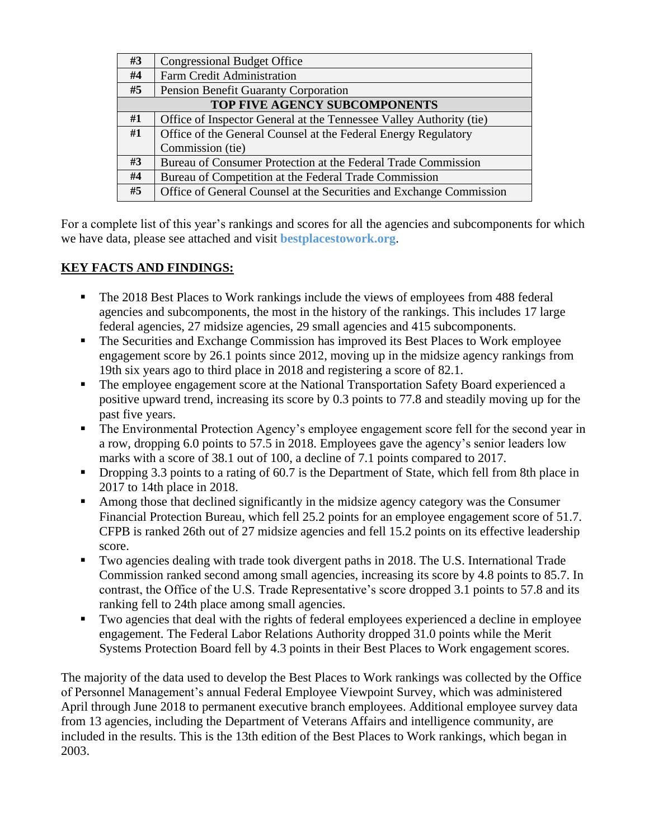| #3                            | <b>Congressional Budget Office</b>                                  |  |
|-------------------------------|---------------------------------------------------------------------|--|
| #4                            | Farm Credit Administration                                          |  |
| #5                            | <b>Pension Benefit Guaranty Corporation</b>                         |  |
| TOP FIVE AGENCY SUBCOMPONENTS |                                                                     |  |
| #1                            | Office of Inspector General at the Tennessee Valley Authority (tie) |  |
| #1                            | Office of the General Counsel at the Federal Energy Regulatory      |  |
|                               | Commission (tie)                                                    |  |
| #3                            | Bureau of Consumer Protection at the Federal Trade Commission       |  |
| #4                            | Bureau of Competition at the Federal Trade Commission               |  |
| #5                            | Office of General Counsel at the Securities and Exchange Commission |  |

For a complete list of this year's rankings and scores for all the agencies and subcomponents for which we have data, please see attached and visit **[bestplacestowork.org](https://bestplacestowork.org/)**.

## **KEY FACTS AND FINDINGS:**

- The 2018 Best Places to Work rankings include the views of employees from 488 federal agencies and subcomponents, the most in the history of the rankings. This includes 17 large federal agencies, 27 midsize agencies, 29 small agencies and 415 subcomponents.
- The Securities and Exchange Commission has improved its Best Places to Work employee engagement score by 26.1 points since 2012, moving up in the midsize agency rankings from 19th six years ago to third place in 2018 and registering a score of 82.1.
- **•** The employee engagement score at the National Transportation Safety Board experienced a positive upward trend, increasing its score by 0.3 points to 77.8 and steadily moving up for the past five years.
- **•** The Environmental Protection Agency's employee engagement score fell for the second year in a row, dropping 6.0 points to 57.5 in 2018. Employees gave the agency's senior leaders low marks with a score of 38.1 out of 100, a decline of 7.1 points compared to 2017.
- Dropping 3.3 points to a rating of 60.7 is the Department of State, which fell from 8th place in 2017 to 14th place in 2018.
- Among those that declined significantly in the midsize agency category was the Consumer Financial Protection Bureau, which fell 25.2 points for an employee engagement score of 51.7. CFPB is ranked 26th out of 27 midsize agencies and fell 15.2 points on its effective leadership score.
- Two agencies dealing with trade took divergent paths in 2018. The U.S. International Trade Commission ranked second among small agencies, increasing its score by 4.8 points to 85.7. In contrast, the Office of the U.S. Trade Representative's score dropped 3.1 points to 57.8 and its ranking fell to 24th place among small agencies.
- Two agencies that deal with the rights of federal employees experienced a decline in employee engagement. The Federal Labor Relations Authority dropped 31.0 points while the Merit Systems Protection Board fell by 4.3 points in their Best Places to Work engagement scores.

The majority of the data used to develop the Best Places to Work rankings was collected by the Office of Personnel Management's annual Federal Employee Viewpoint Survey, which was administered April through June 2018 to permanent executive branch employees. Additional employee survey data from 13 agencies, including the Department of Veterans Affairs and intelligence community, are included in the results. This is the 13th edition of the Best Places to Work rankings, which began in 2003.